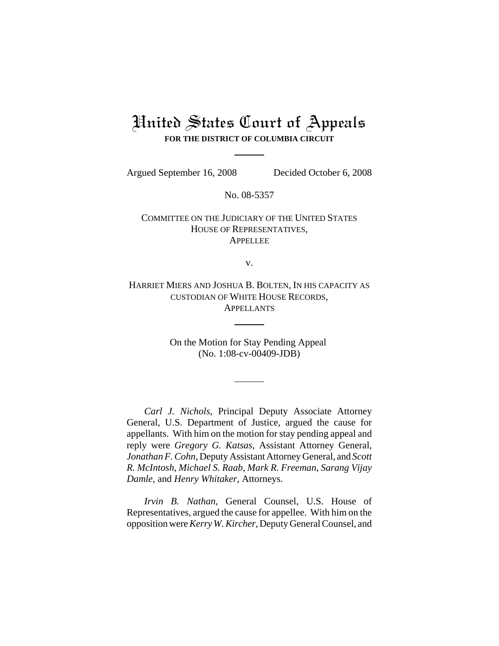## United States Court of Appeals **FOR THE DISTRICT OF COLUMBIA CIRCUIT**

Argued September 16, 2008 Decided October 6, 2008

No. 08-5357

## COMMITTEE ON THE JUDICIARY OF THE UNITED STATES HOUSE OF REPRESENTATIVES, APPELLEE

v.

HARRIET MIERS AND JOSHUA B. BOLTEN, IN HIS CAPACITY AS CUSTODIAN OF WHITE HOUSE RECORDS, **APPELLANTS** 

> On the Motion for Stay Pending Appeal (No. 1:08-cv-00409-JDB)

*Carl J. Nichols*, Principal Deputy Associate Attorney General, U.S. Department of Justice, argued the cause for appellants. With him on the motion for stay pending appeal and reply were *Gregory G. Katsas*, Assistant Attorney General, *Jonathan F. Cohn*, Deputy Assistant Attorney General, and *Scott R. McIntosh*, *Michael S. Raab*, *Mark R. Freeman*, *Sarang Vijay Damle*, and *Henry Whitaker*, Attorneys.

*Irvin B. Nathan*, General Counsel, U.S. House of Representatives, argued the cause for appellee. With him on the opposition were *Kerry W. Kircher*, Deputy General Counsel, and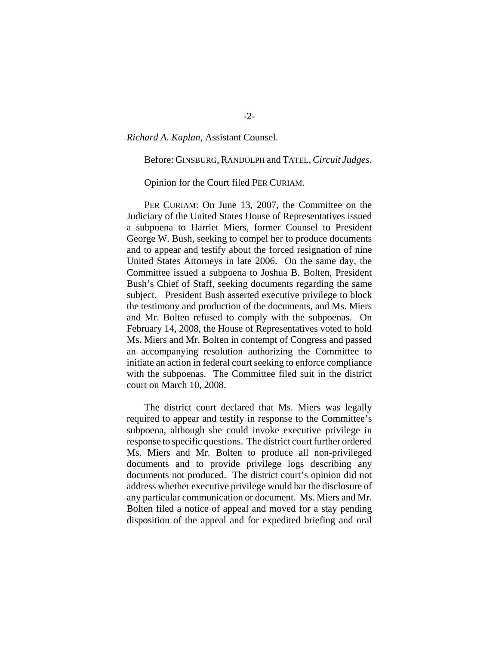*Richard A. Kaplan*, Assistant Counsel.

Before: GINSBURG, RANDOLPH and TATEL, *Circuit Judges*.

Opinion for the Court filed PER CURIAM.

PER CURIAM: On June 13, 2007, the Committee on the Judiciary of the United States House of Representatives issued a subpoena to Harriet Miers, former Counsel to President George W. Bush, seeking to compel her to produce documents and to appear and testify about the forced resignation of nine United States Attorneys in late 2006. On the same day, the Committee issued a subpoena to Joshua B. Bolten, President Bush's Chief of Staff, seeking documents regarding the same subject. President Bush asserted executive privilege to block the testimony and production of the documents, and Ms. Miers and Mr. Bolten refused to comply with the subpoenas. On February 14, 2008, the House of Representatives voted to hold Ms. Miers and Mr. Bolten in contempt of Congress and passed an accompanying resolution authorizing the Committee to initiate an action in federal court seeking to enforce compliance with the subpoenas. The Committee filed suit in the district court on March 10, 2008.

The district court declared that Ms. Miers was legally required to appear and testify in response to the Committee's subpoena, although she could invoke executive privilege in response to specific questions. The district court further ordered Ms. Miers and Mr. Bolten to produce all non-privileged documents and to provide privilege logs describing any documents not produced. The district court's opinion did not address whether executive privilege would bar the disclosure of any particular communication or document. Ms. Miers and Mr. Bolten filed a notice of appeal and moved for a stay pending disposition of the appeal and for expedited briefing and oral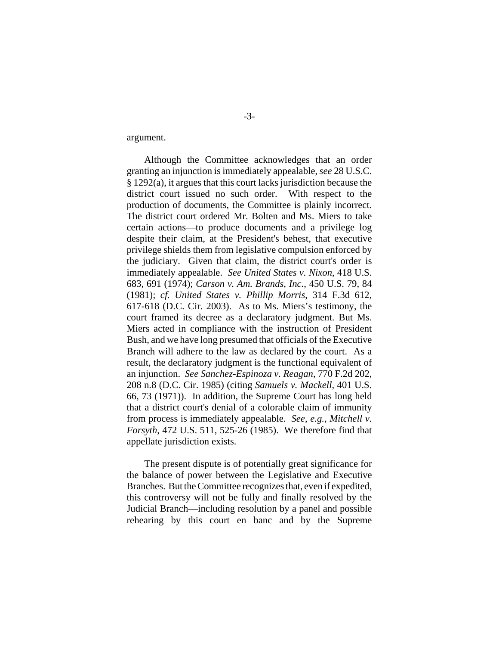argument.

Although the Committee acknowledges that an order granting an injunction is immediately appealable, *see* 28 U.S.C. § 1292(a), it argues that this court lacks jurisdiction because the district court issued no such order. With respect to the production of documents, the Committee is plainly incorrect. The district court ordered Mr. Bolten and Ms. Miers to take certain actions—to produce documents and a privilege log despite their claim, at the President's behest, that executive privilege shields them from legislative compulsion enforced by the judiciary. Given that claim, the district court's order is immediately appealable. *See United States v. Nixon*, 418 U.S. 683, 691 (1974); *Carson v. Am. Brands, Inc.*, 450 U.S. 79, 84 (1981); *cf. United States v. Phillip Morris*, 314 F.3d 612, 617-618 (D.C. Cir. 2003). As to Ms. Miers's testimony, the court framed its decree as a declaratory judgment. But Ms. Miers acted in compliance with the instruction of President Bush, and we have long presumed that officials of the Executive Branch will adhere to the law as declared by the court. As a result, the declaratory judgment is the functional equivalent of an injunction. *See Sanchez-Espinoza v. Reagan*, 770 F.2d 202, 208 n.8 (D.C. Cir. 1985) (citing *Samuels v. Mackell*, 401 U.S. 66, 73 (1971)). In addition, the Supreme Court has long held that a district court's denial of a colorable claim of immunity from process is immediately appealable. *See, e.g.*, *Mitchell v. Forsyth*, 472 U.S. 511, 525-26 (1985). We therefore find that appellate jurisdiction exists.

The present dispute is of potentially great significance for the balance of power between the Legislative and Executive Branches. But the Committee recognizes that, even if expedited, this controversy will not be fully and finally resolved by the Judicial Branch—including resolution by a panel and possible rehearing by this court en banc and by the Supreme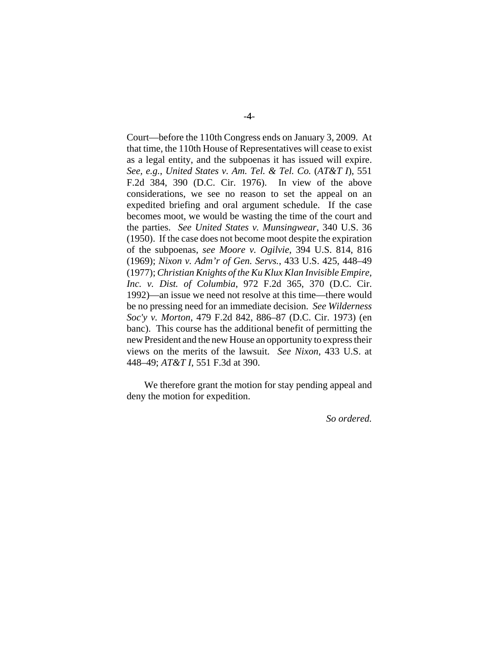Court—before the 110th Congress ends on January 3, 2009. At that time, the 110th House of Representatives will cease to exist as a legal entity, and the subpoenas it has issued will expire. *See, e.g.*, *United States v. Am. Tel. & Tel. Co.* (*AT&T I*), 551 F.2d 384, 390 (D.C. Cir. 1976). In view of the above considerations, we see no reason to set the appeal on an expedited briefing and oral argument schedule. If the case becomes moot, we would be wasting the time of the court and the parties. *See United States v. Munsingwear*, 340 U.S. 36 (1950). If the case does not become moot despite the expiration of the subpoenas, *see Moore v. Ogilvie*, 394 U.S. 814, 816 (1969); *Nixon v. Adm'r of Gen. Servs.*, 433 U.S. 425, 448–49 (1977); *Christian Knights of the Ku Klux Klan Invisible Empire, Inc. v. Dist. of Columbia*, 972 F.2d 365, 370 (D.C. Cir. 1992)—an issue we need not resolve at this time—there would be no pressing need for an immediate decision. *See Wilderness Soc'y v. Morton*, 479 F.2d 842, 886–87 (D.C. Cir. 1973) (en banc). This course has the additional benefit of permitting the new President and the new House an opportunity to express their views on the merits of the lawsuit. *See Nixon*, 433 U.S. at 448–49; *AT&T I*, 551 F.3d at 390.

We therefore grant the motion for stay pending appeal and deny the motion for expedition.

*So ordered.*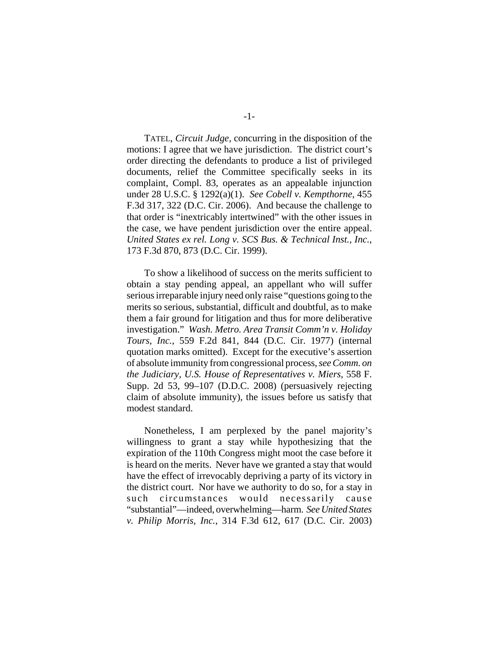TATEL, *Circuit Judge,* concurring in the disposition of the motions: I agree that we have jurisdiction. The district court's order directing the defendants to produce a list of privileged documents, relief the Committee specifically seeks in its complaint, Compl. 83, operates as an appealable injunction under 28 U.S.C. § 1292(a)(1). *See Cobell v. Kempthorne*, 455 F.3d 317, 322 (D.C. Cir. 2006). And because the challenge to that order is "inextricably intertwined" with the other issues in the case, we have pendent jurisdiction over the entire appeal. *United States ex rel. Long v. SCS Bus. & Technical Inst., Inc.*, 173 F.3d 870, 873 (D.C. Cir. 1999).

To show a likelihood of success on the merits sufficient to obtain a stay pending appeal, an appellant who will suffer serious irreparable injury need only raise "questions going to the merits so serious, substantial, difficult and doubtful, as to make them a fair ground for litigation and thus for more deliberative investigation." *Wash. Metro. Area Transit Comm'n v. Holiday Tours, Inc.*, 559 F.2d 841, 844 (D.C. Cir. 1977) (internal quotation marks omitted). Except for the executive's assertion of absolute immunity from congressional process, *see Comm. on the Judiciary, U.S. House of Representatives v. Miers*, 558 F. Supp. 2d 53, 99–107 (D.D.C. 2008) (persuasively rejecting claim of absolute immunity), the issues before us satisfy that modest standard.

Nonetheless, I am perplexed by the panel majority's willingness to grant a stay while hypothesizing that the expiration of the 110th Congress might moot the case before it is heard on the merits. Never have we granted a stay that would have the effect of irrevocably depriving a party of its victory in the district court. Nor have we authority to do so, for a stay in such circumstances would necessarily cause "substantial"—indeed, overwhelming—harm. *See United States v. Philip Morris, Inc.*, 314 F.3d 612, 617 (D.C. Cir. 2003)